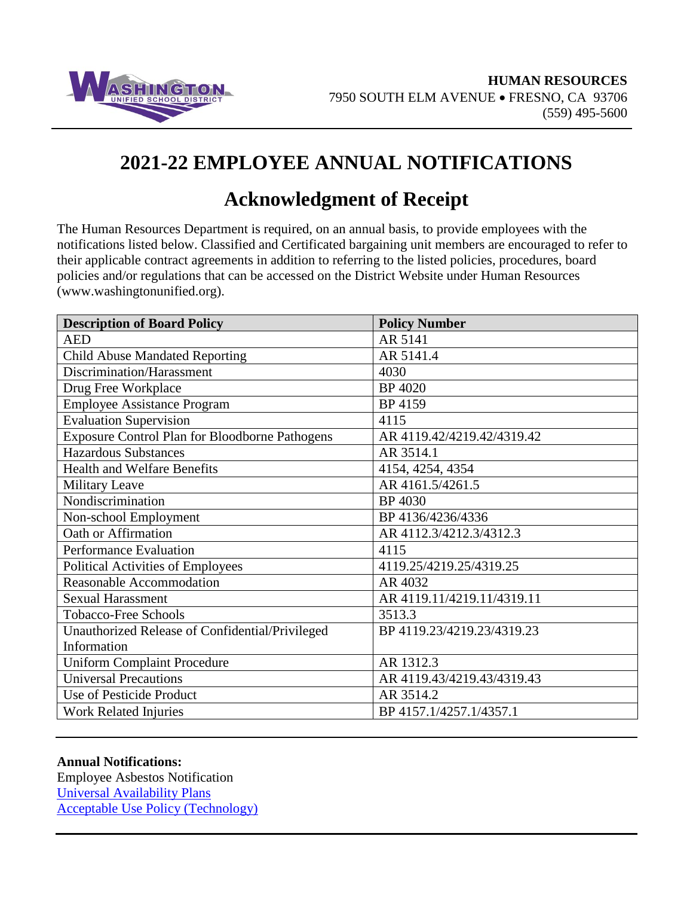

# **2021-22 EMPLOYEE ANNUAL NOTIFICATIONS**

## **Acknowledgment of Receipt**

The Human Resources Department is required, on an annual basis, to provide employees with the notifications listed below. Classified and Certificated bargaining unit members are encouraged to refer to their applicable contract agreements in addition to referring to the listed policies, procedures, board policies and/or regulations that can be accessed on the District Website under Human Resources (www.washingtonunified.org).

| <b>Description of Board Policy</b>              | <b>Policy Number</b>       |
|-------------------------------------------------|----------------------------|
| <b>AED</b>                                      | AR 5141                    |
| <b>Child Abuse Mandated Reporting</b>           | AR 5141.4                  |
| Discrimination/Harassment                       | 4030                       |
| Drug Free Workplace                             | <b>BP</b> 4020             |
| <b>Employee Assistance Program</b>              | BP 4159                    |
| <b>Evaluation Supervision</b>                   | 4115                       |
| Exposure Control Plan for Bloodborne Pathogens  | AR 4119.42/4219.42/4319.42 |
| <b>Hazardous Substances</b>                     | AR 3514.1                  |
| <b>Health and Welfare Benefits</b>              | 4154, 4254, 4354           |
| <b>Military Leave</b>                           | AR 4161.5/4261.5           |
| Nondiscrimination                               | BP 4030                    |
| Non-school Employment                           | BP 4136/4236/4336          |
| Oath or Affirmation                             | AR 4112.3/4212.3/4312.3    |
| Performance Evaluation                          | 4115                       |
| <b>Political Activities of Employees</b>        | 4119.25/4219.25/4319.25    |
| <b>Reasonable Accommodation</b>                 | AR 4032                    |
| <b>Sexual Harassment</b>                        | AR 4119.11/4219.11/4319.11 |
| <b>Tobacco-Free Schools</b>                     | 3513.3                     |
| Unauthorized Release of Confidential/Privileged | BP 4119.23/4219.23/4319.23 |
| Information                                     |                            |
| <b>Uniform Complaint Procedure</b>              | AR 1312.3                  |
| <b>Universal Precautions</b>                    | AR 4119.43/4219.43/4319.43 |
| Use of Pesticide Product                        | AR 3514.2                  |
| <b>Work Related Injuries</b>                    | BP 4157.1/4257.1/4357.1    |

#### **Annual Notifications:**

Employee Asbestos Notification [Universal Availability Plans](http://www.washingtonunified.org/departments/business/payroll/) [Acceptable Use Policy](http://washingtonunified.org/docs/IT/Acceptable%20Use%20Policy.pdf) (Technology)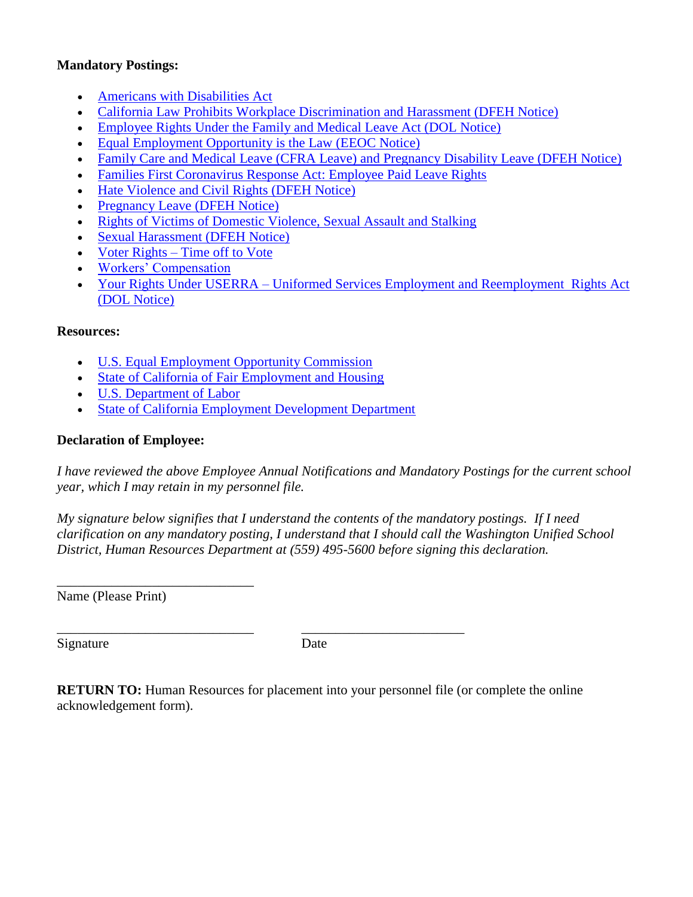#### **Mandatory Postings:**

- [Americans with Disabilities Act](https://www.dol.gov/general/topic/disability/ada)
- [California Law Prohibits Workplace Discrimination and Harassment \(DFEH Notice\)](https://www.dfeh.ca.gov/wp-content/uploads/sites/32/2017/06/DFEH_WorkPlaceDiscriminationHarassmentPoster.pdf)
- [Employee Rights Under the Family and Medical Leave Act \(DOL Notice\)](https://www.dol.gov/whd/regs/compliance/posters/fmlaen.pdf)
- [Equal Employment Opportunity is the Law \(EEOC Notice\)](https://www.dol.gov/sites/dolgov/files/ofccp/regs/compliance/posters/pdf/eeopost.pdf)
- [Family Care and Medical Leave \(CFRA Leave\) and Pregnancy Disability Leave \(DFEH Notice\)](https://www.dfeh.ca.gov/wp-content/uploads/sites/32/2020/12/CFRA-and-Pregnancy-Leave_ENG.pdf)
- [Families First Coronavirus Response Act: Employee Paid Leave Rights](https://www.dir.ca.gov/dlse/COVID19Resources/FAQ-for-SPSL-2021.html)
- [Hate Violence and Civil Rights \(DFEH Notice\)](https://www.dfeh.ca.gov/wp-content/uploads/sites/32/2017/12/DFEH_RalphPoster_ENG.pdf)
- [Pregnancy Leave \(DFEH Notice\)](https://www.dfeh.ca.gov/wp-content/uploads/sites/32/2018/08/RightsObligationsPregnantEe_A_ENG.pdf)
- [Rights of Victims of Domestic Violence, Sexual Assault and Stalking](http://www.dir.ca.gov/dlse/Victims_of_Domestic_Violence_Leave_Notice.pdf)
- [Sexual Harassment \(DFEH Notice\)](https://www.dfeh.ca.gov/wp-content/uploads/sites/32/2020/03/SexualHarassmentFactSheet_ENG.pdf)
- Voter Rights [Time off to Vote](http://elections.cdn.sos.ca.gov/pdfs/tov-english.pdf)
- [Workers' Compensation](https://www.dir.ca.gov/dwc/DWCPamphlets/TimeOfHirePamphlet.pdf)
- Your Rights Under USERRA [Uniformed Services Employment and Reemployment](https://www.dol.gov/vets/programs/userra/USERRA_Private.pdf) Rights Act [\(DOL Notice\)](https://www.dol.gov/vets/programs/userra/USERRA_Private.pdf)

## **Resources:**

- [U.S. Equal Employment Opportunity Commission](http://www.eeoc.gov/)
- [State of California of Fair Employment and Housing](http://www.dfeh.ca.gov/)
- [U.S. Department of Labor](http://www.dol.gov/)
- [State of California Employment Development Department](http://www.edd.ca.gov/)

\_\_\_\_\_\_\_\_\_\_\_\_\_\_\_\_\_\_\_\_\_\_\_\_\_\_\_\_\_ \_\_\_\_\_\_\_\_\_\_\_\_\_\_\_\_\_\_\_\_\_\_\_\_

### **Declaration of Employee:**

*I have reviewed the above Employee Annual Notifications and Mandatory Postings for the current school year, which I may retain in my personnel file.*

*My signature below signifies that I understand the contents of the mandatory postings. If I need clarification on any mandatory posting, I understand that I should call the Washington Unified School District, Human Resources Department at (559) 495-5600 before signing this declaration.*

\_\_\_\_\_\_\_\_\_\_\_\_\_\_\_\_\_\_\_\_\_\_\_\_\_\_\_\_\_ Name (Please Print)

Signature Date

**RETURN TO:** Human Resources for placement into your personnel file (or complete the online acknowledgement form).